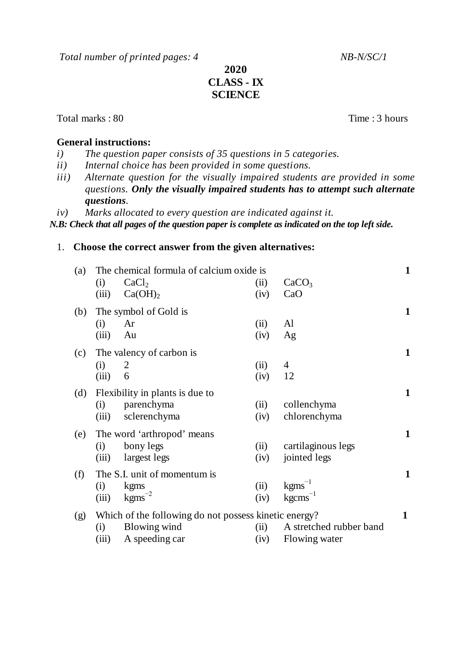*Total number of printed pages: 4 NB-N/SC/1* 

## **2020 CLASS - IX SCIENCE**

Total marks : 80 Time : 3 hours

## **General instructions:**

- *i) The question paper consists of 35 questions in 5 categories.*
- *ii) Internal choice has been provided in some questions.*
- *iii) Alternate question for the visually impaired students are provided in some questions. Only the visually impaired students has to attempt such alternate questions.*
- *iv) Marks allocated to every question are indicated against it.*

*N.B: Check that all pages of the question paper is complete as indicated on the top left side.*

## 1. **Choose the correct answer from the given alternatives:**

| (a) | The chemical formula of calcium oxide is              |                              |      |                         |              |
|-----|-------------------------------------------------------|------------------------------|------|-------------------------|--------------|
|     | (i)                                                   | CaCl <sub>2</sub>            | (ii) | CaCO <sub>3</sub>       |              |
|     | (iii)                                                 | Ca(OH) <sub>2</sub>          | (iv) | CaO                     |              |
| (b) |                                                       | The symbol of Gold is        |      |                         | $\mathbf{1}$ |
|     | (i)                                                   | Ar                           | (ii) | Al                      |              |
|     | (iii)                                                 | Au                           | (iv) | Ag                      |              |
| (c) |                                                       | The valency of carbon is     |      |                         | 1            |
|     | (i)                                                   | $\overline{2}$               | (ii) | 4                       |              |
|     | (iii)                                                 | 6                            | (iv) | 12                      |              |
| (d) | Flexibility in plants is due to                       |                              |      |                         |              |
|     | (i)                                                   | parenchyma                   | (ii) | collenchyma             |              |
|     | (iii)                                                 | sclerenchyma                 | (iv) | chlorenchyma            |              |
| (e) |                                                       | The word 'arthropod' means   |      |                         | $\mathbf{1}$ |
|     | (i)                                                   | bony legs                    | (ii) | cartilaginous legs      |              |
|     | (iii)                                                 | largest legs                 | (iv) | jointed legs            |              |
| (f) |                                                       | The S.I. unit of momentum is |      |                         | 1            |
|     | (i)                                                   | kgms                         | (ii) | $kgms^{-1}$             |              |
|     | (iii)                                                 | $kgms^{-2}$                  | (iv) | $kgcms^{-1}$            |              |
| (g) | Which of the following do not possess kinetic energy? |                              |      |                         |              |
|     | (i)                                                   | Blowing wind                 | (ii) | A stretched rubber band | 1            |
|     | (iii)                                                 | A speeding car               | (iv) | Flowing water           |              |
|     |                                                       |                              |      |                         |              |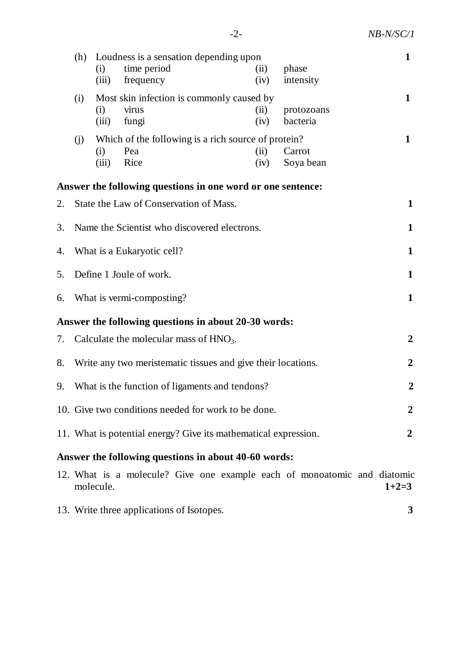|                                                      | (h)                                                             | (i)<br>(iii) | Loudness is a sensation depending upon<br>time period<br>frequency       | (ii)<br>(iv) | phase<br>intensity     |                | $\mathbf{1}$   |
|------------------------------------------------------|-----------------------------------------------------------------|--------------|--------------------------------------------------------------------------|--------------|------------------------|----------------|----------------|
|                                                      | (i)                                                             | (i)<br>(iii) | Most skin infection is commonly caused by<br>virus<br>fungi              | (ii)<br>(iv) | protozoans<br>bacteria |                | $\mathbf{1}$   |
|                                                      | (j)                                                             | (i)<br>(iii) | Which of the following is a rich source of protein?<br>Pea<br>Rice       | (ii)<br>(iv) | Carrot<br>Soya bean    |                | 1              |
|                                                      |                                                                 |              | Answer the following questions in one word or one sentence:              |              |                        |                |                |
| 2.                                                   |                                                                 |              | State the Law of Conservation of Mass.                                   |              |                        |                | $\mathbf{1}$   |
| 3.                                                   | Name the Scientist who discovered electrons.                    |              |                                                                          |              |                        | $\mathbf{1}$   |                |
| 4.                                                   | What is a Eukaryotic cell?                                      |              |                                                                          |              |                        | $\mathbf{1}$   |                |
| 5.                                                   | Define 1 Joule of work.                                         |              |                                                                          |              |                        |                | 1              |
| 6.                                                   | What is vermi-composting?                                       |              |                                                                          |              |                        |                | $\mathbf{1}$   |
|                                                      |                                                                 |              | Answer the following questions in about 20-30 words:                     |              |                        |                |                |
| 7.                                                   |                                                                 |              | Calculate the molecular mass of $HNO3$ .                                 |              |                        |                | $\overline{2}$ |
| 8.                                                   | Write any two meristematic tissues and give their locations.    |              |                                                                          |              |                        | $\overline{2}$ |                |
| 9.                                                   | What is the function of ligaments and tendons?                  |              |                                                                          |              |                        | $\overline{2}$ |                |
|                                                      | 10. Give two conditions needed for work to be done.             |              |                                                                          |              |                        | $\overline{2}$ |                |
|                                                      | 11. What is potential energy? Give its mathematical expression. |              |                                                                          |              |                        |                | $\overline{2}$ |
| Answer the following questions in about 40-60 words: |                                                                 |              |                                                                          |              |                        |                |                |
|                                                      |                                                                 | molecule.    | 12. What is a molecule? Give one example each of monoatomic and diatomic |              |                        |                | $1+2=3$        |

13. Write three applications of Isotopes. **3**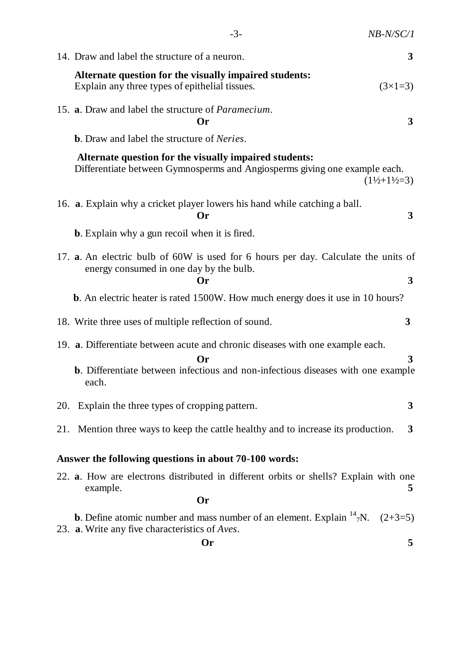|                                                       | $-3-$                                                                                                                                                            | $NB$ -N/SC/1                    |  |  |  |  |
|-------------------------------------------------------|------------------------------------------------------------------------------------------------------------------------------------------------------------------|---------------------------------|--|--|--|--|
|                                                       | 14. Draw and label the structure of a neuron.                                                                                                                    | 3                               |  |  |  |  |
|                                                       | Alternate question for the visually impaired students:<br>Explain any three types of epithelial tissues.                                                         | $(3\times1=3)$                  |  |  |  |  |
|                                                       | 15. a. Draw and label the structure of <i>Paramecium</i> .<br>Or                                                                                                 | 3                               |  |  |  |  |
|                                                       | <b>b.</b> Draw and label the structure of <i>Neries</i> .                                                                                                        |                                 |  |  |  |  |
|                                                       | Alternate question for the visually impaired students:<br>Differentiate between Gymnosperms and Angiosperms giving one example each.                             | $(1\frac{1}{2}+1\frac{1}{2}=3)$ |  |  |  |  |
|                                                       | 16. <b>a.</b> Explain why a cricket player lowers his hand while catching a ball.<br>Or                                                                          | 3                               |  |  |  |  |
|                                                       | <b>b</b> . Explain why a gun recoil when it is fired.                                                                                                            |                                 |  |  |  |  |
|                                                       | 17. <b>a.</b> An electric bulb of 60W is used for 6 hours per day. Calculate the units of<br>energy consumed in one day by the bulb.<br>Or                       | 3                               |  |  |  |  |
|                                                       | <b>b</b> . An electric heater is rated 1500W. How much energy does it use in 10 hours?                                                                           |                                 |  |  |  |  |
|                                                       | 18. Write three uses of multiple reflection of sound.                                                                                                            | 3                               |  |  |  |  |
|                                                       | 19. a. Differentiate between acute and chronic diseases with one example each.<br>Or                                                                             | 3                               |  |  |  |  |
|                                                       | <b>b.</b> Differentiate between infectious and non-infectious diseases with one example<br>each.                                                                 |                                 |  |  |  |  |
| <b>20.</b>                                            | Explain the three types of cropping pattern.                                                                                                                     | 3                               |  |  |  |  |
| 21.                                                   | Mention three ways to keep the cattle healthy and to increase its production.                                                                                    | 3                               |  |  |  |  |
| Answer the following questions in about 70-100 words: |                                                                                                                                                                  |                                 |  |  |  |  |
|                                                       | 22. a. How are electrons distributed in different orbits or shells? Explain with one<br>example.<br><b>Or</b>                                                    | 5                               |  |  |  |  |
|                                                       | <b>b</b> . Define atomic number and mass number of an element. Explain $14^{4}$ <sub>7</sub> N.<br>23. <b>a.</b> Write any five characteristics of <i>Aves</i> . | $(2+3=5)$                       |  |  |  |  |
|                                                       | <b>Or</b>                                                                                                                                                        | 5                               |  |  |  |  |